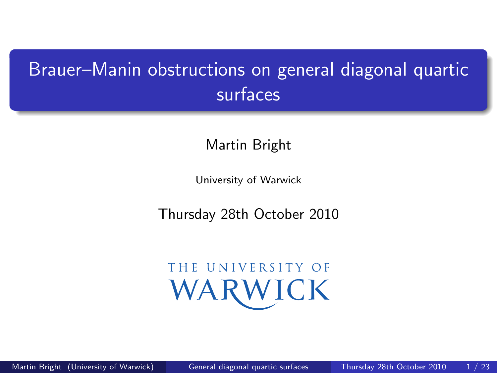## Brauer–Manin obstructions on general diagonal quartic surfaces

Martin Bright

University of Warwick

Thursday 28th October 2010

# <span id="page-0-0"></span>THE UNIVERSITY OF WARWICK

Martin Bright (University of Warwick) [General diagonal quartic surfaces](#page-59-0) Thursday 28th October 2010 1/23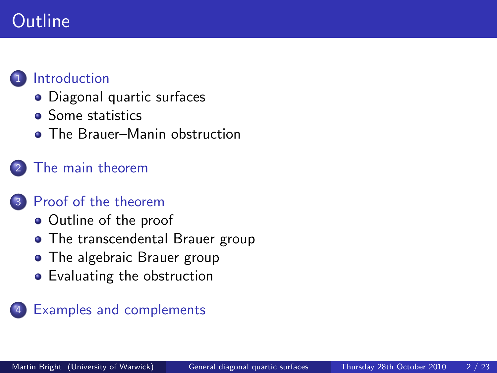## **Outline**



#### **[Introduction](#page-2-0)**

- [Diagonal quartic surfaces](#page-2-0)
- **•** [Some statistics](#page-5-0)
- **[The Brauer–Manin obstruction](#page-11-0)**

[The main theorem](#page-15-0)

### [Proof of the theorem](#page-17-0)

- [Outline of the proof](#page-17-0)
- [The transcendental Brauer group](#page-21-0)
- [The algebraic Brauer group](#page-24-0)
- [Evaluating the obstruction](#page-35-0)

### **[Examples and complements](#page-55-0)**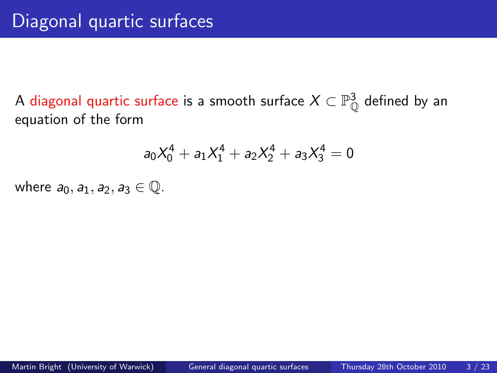A diagonal quartic surface is a smooth surface  $X\subset \mathbb{P}^3_\mathbb{O}$  defined by an equation of the form

<span id="page-2-0"></span>
$$
a_0X_0^4 + a_1X_1^4 + a_2X_2^4 + a_3X_3^4 = 0
$$

where  $a_0$ ,  $a_1$ ,  $a_2$ ,  $a_3 \in \mathbb{Q}$ .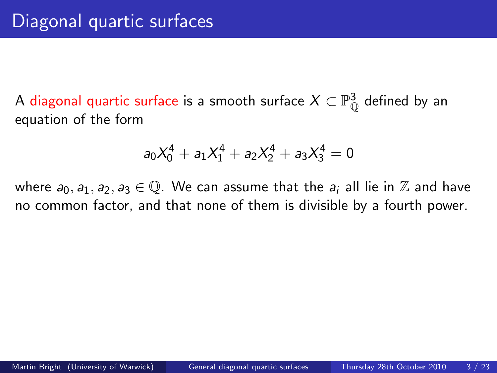A diagonal quartic surface is a smooth surface  $X\subset \mathbb{P}^3_\mathbb{O}$  defined by an equation of the form

$$
a_0X_0^4 + a_1X_1^4 + a_2X_2^4 + a_3X_3^4 = 0
$$

where  $a_0, a_1, a_2, a_3 \in \mathbb{Q}$ . We can assume that the  $a_i$  all lie in  $\mathbb{Z}$  and have no common factor, and that none of them is divisible by a fourth power.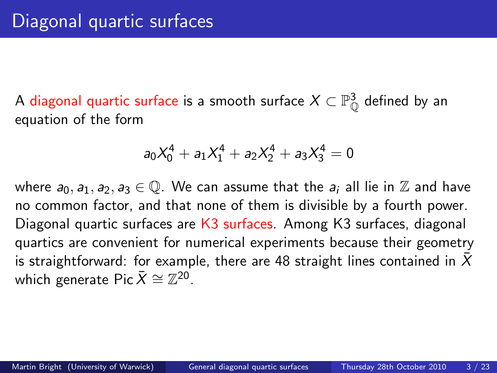A diagonal quartic surface is a smooth surface  $X\subset \mathbb{P}^3_\mathbb{O}$  defined by an equation of the form

$$
a_0X_0^4 + a_1X_1^4 + a_2X_2^4 + a_3X_3^4 = 0
$$

where  $a_0, a_1, a_2, a_3 \in \mathbb{Q}$ . We can assume that the  $a_i$  all lie in  $\mathbb{Z}$  and have no common factor, and that none of them is divisible by a fourth power. Diagonal quartic surfaces are K3 surfaces. Among K3 surfaces, diagonal quartics are convenient for numerical experiments because their geometry is straightforward: for example, there are 48 straight lines contained in  $X$ which generate Pic  $\bar{X}\cong \mathbb{Z}^{20}$ .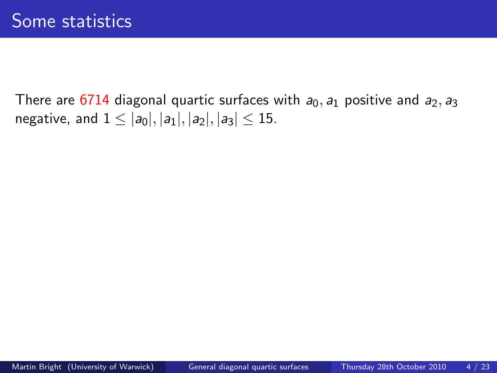<span id="page-5-0"></span>There are  $6714$  diagonal quartic surfaces with  $a_0$ ,  $a_1$  positive and  $a_2$ ,  $a_3$ negative, and  $1 \leq |a_0|, |a_1|, |a_2|, |a_3| \leq 15$ .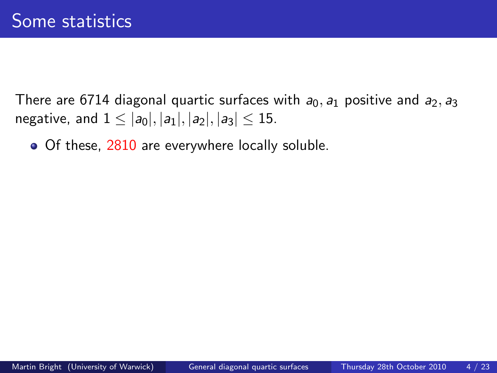There are 6714 diagonal quartic surfaces with  $a_0$ ,  $a_1$  positive and  $a_2$ ,  $a_3$ negative, and  $1 \leq |a_0|, |a_1|, |a_2|, |a_3| \leq 15$ .

• Of these, 2810 are everywhere locally soluble.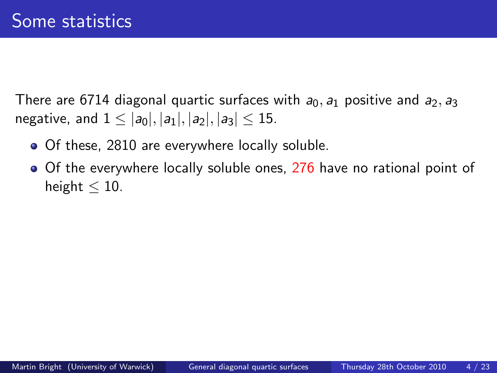There are 6714 diagonal quartic surfaces with  $a_0$ ,  $a_1$  positive and  $a_2$ ,  $a_3$ negative, and  $1 \leq |a_0|, |a_1|, |a_2|, |a_3| \leq 15$ .

- Of these, 2810 are everywhere locally soluble.
- Of the everywhere locally soluble ones, 276 have no rational point of height  $< 10$ .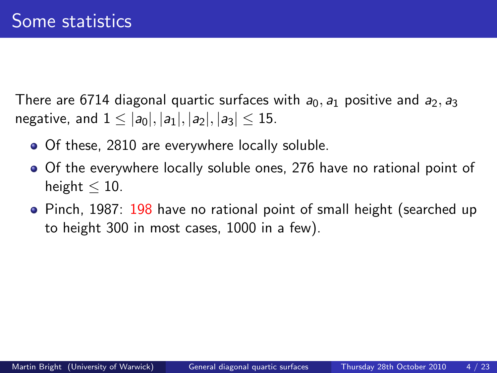There are 6714 diagonal quartic surfaces with  $a_0$ ,  $a_1$  positive and  $a_2$ ,  $a_3$ negative, and  $1 < |a_0|, |a_1|, |a_2|, |a_3| < 15$ .

- Of these, 2810 are everywhere locally soluble.
- Of the everywhere locally soluble ones, 276 have no rational point of height  $< 10$ .
- Pinch, 1987: 198 have no rational point of small height (searched up to height 300 in most cases, 1000 in a few).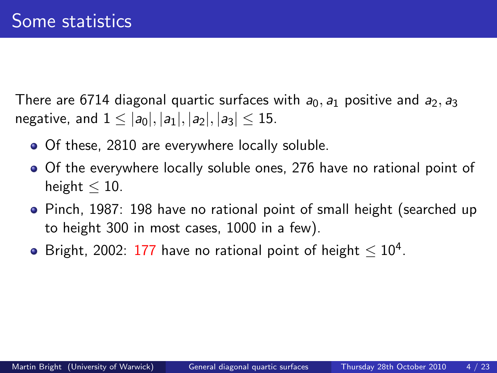There are 6714 diagonal quartic surfaces with  $a_0$ ,  $a_1$  positive and  $a_2$ ,  $a_3$ negative, and  $1 < |a_0|, |a_1|, |a_2|, |a_3| < 15$ .

- Of these, 2810 are everywhere locally soluble.
- Of the everywhere locally soluble ones, 276 have no rational point of height  $< 10$ .
- Pinch, 1987: 198 have no rational point of small height (searched up to height 300 in most cases, 1000 in a few).
- Bright, 2002: 177 have no rational point of height  $\leq 10^4$ .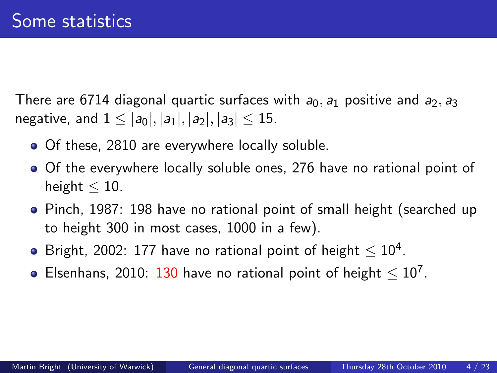There are 6714 diagonal quartic surfaces with  $a_0$ ,  $a_1$  positive and  $a_2$ ,  $a_3$ negative, and  $1 < |a_0|, |a_1|, |a_2|, |a_3| < 15$ .

- Of these, 2810 are everywhere locally soluble.
- Of the everywhere locally soluble ones, 276 have no rational point of height  $< 10$ .
- Pinch, 1987: 198 have no rational point of small height (searched up to height 300 in most cases, 1000 in a few).
- Bright, 2002: 177 have no rational point of height  $\leq 10^4$ .
- Elsenhans, 2010: 130 have no rational point of height  $\leq 10^7$ .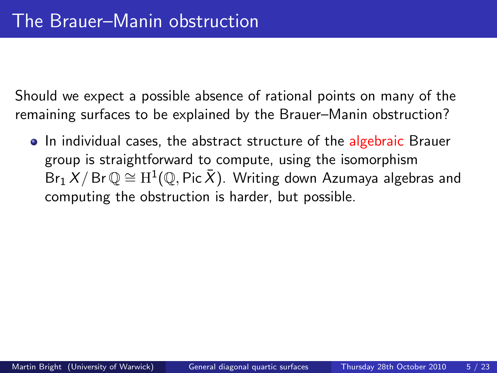• In individual cases, the abstract structure of the algebraic Brauer group is straightforward to compute, using the isomorphism  $\mathsf{Br}_1\, X/\,\mathsf{Br}\, \mathbb{Q} \cong \mathrm{H}^1(\mathbb{Q},\mathsf{Pic}\, \bar X).$  Writing down Azumaya algebras and computing the obstruction is harder, but possible.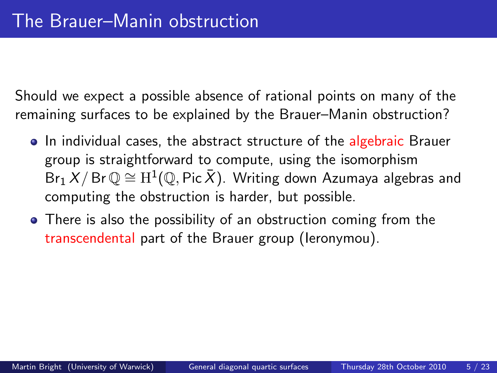- In individual cases, the abstract structure of the algebraic Brauer group is straightforward to compute, using the isomorphism  $\mathsf{Br}_1\, X/\,\mathsf{Br}\, \mathbb{Q} \cong \mathrm{H}^1(\mathbb{Q},\mathsf{Pic}\, \bar X).$  Writing down Azumaya algebras and computing the obstruction is harder, but possible.
- There is also the possibility of an obstruction coming from the transcendental part of the Brauer group (Ieronymou).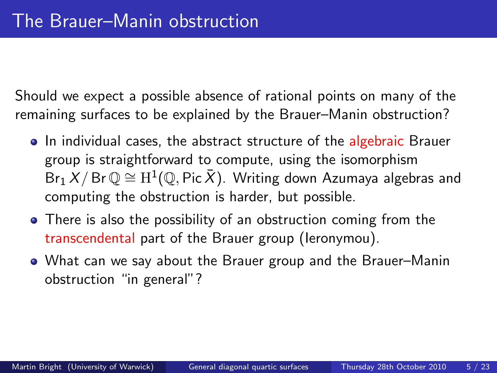- In individual cases, the abstract structure of the algebraic Brauer group is straightforward to compute, using the isomorphism  $\mathsf{Br}_1\, X/\,\mathsf{Br}\, \mathbb{Q} \cong \mathrm{H}^1(\mathbb{Q},\mathsf{Pic}\, \bar X).$  Writing down Azumaya algebras and computing the obstruction is harder, but possible.
- There is also the possibility of an obstruction coming from the transcendental part of the Brauer group (Ieronymou).
- What can we say about the Brauer group and the Brauer–Manin obstruction "in general"?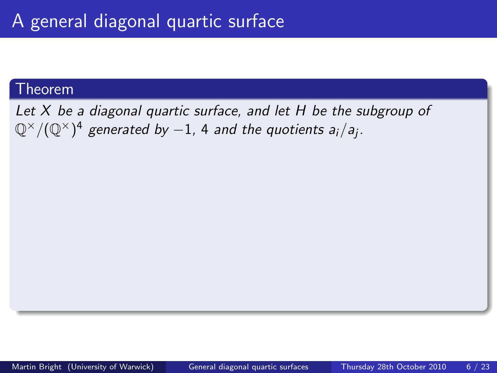#### Theorem

<span id="page-15-0"></span>Let  $X$  be a diagonal quartic surface, and let  $H$  be the subgroup of  $\mathbb{Q}^{\times}/(\mathbb{Q}^{\times})^4$  generated by  $-1$ , 4 and the quotients a $_i/a_j.$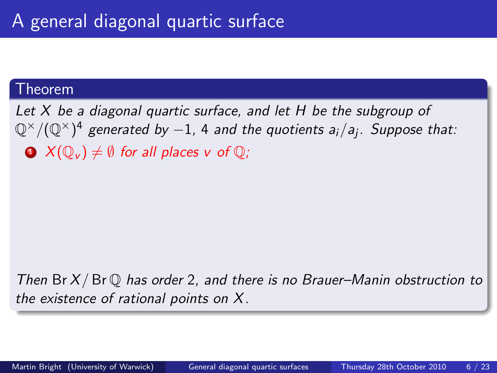#### Theorem

Let  $X$  be a diagonal quartic surface, and let  $H$  be the subgroup of  $\mathbb{Q}^{\times}/(\mathbb{Q}^{\times})^4$  generated by  $-1$ , 4 and the quotients a $_i/$ a $_j$ . Suppose that:

 $\bullet X(\mathbb{Q}_{\nu}) \neq \emptyset$  for all places v of  $\mathbb{Q}$ ;

Then Br  $X/Br \mathbb{Q}$  has order 2, and there is no Brauer–Manin obstruction to the existence of rational points on X.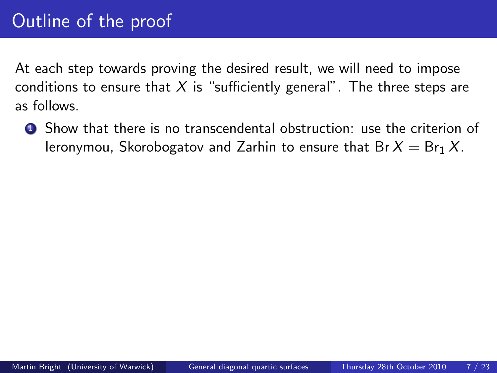<sup>1</sup> Show that there is no transcendental obstruction: use the criterion of Ieronymou, Skorobogatov and Zarhin to ensure that Br  $X = Br_1 X$ .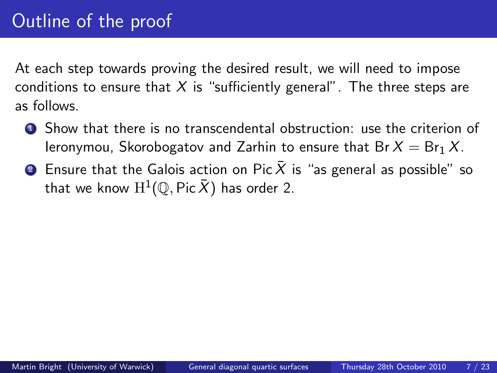- <sup>1</sup> Show that there is no transcendental obstruction: use the criterion of Ieronymou, Skorobogatov and Zarhin to ensure that Br  $X = Br_1 X$ .
- **2** Ensure that the Galois action on Pic  $\bar{X}$  is "as general as possible" so that we know  $\mathrm{H}^1(\mathbb{Q},\mathsf{Pic}\,\bar{X})$  has order 2.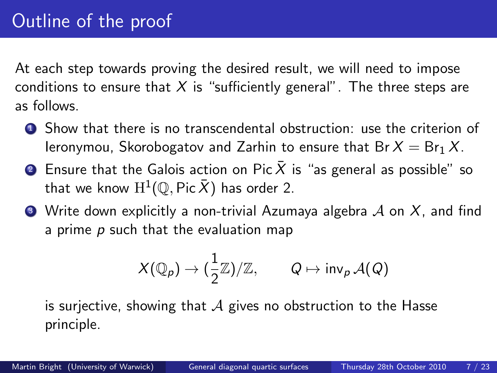- <sup>1</sup> Show that there is no transcendental obstruction: use the criterion of Ieronymou, Skorobogatov and Zarhin to ensure that Br  $X = Br_1 X$ .
- **2** Ensure that the Galois action on Pic  $\bar{X}$  is "as general as possible" so that we know  $\mathrm{H}^1(\mathbb{Q},\mathsf{Pic}\,\bar{X})$  has order 2.
- $\bullet$  Write down explicitly a non-trivial Azumaya algebra A on X, and find a prime  $p$  such that the evaluation map

$$
X(\mathbb{Q}_p)\to(\frac{1}{2}\mathbb{Z})/\mathbb{Z},\qquad Q\mapsto \mathop{\rm inv}\nolimits_p\mathcal{A}(Q)
$$

is surjective, showing that  $\mathcal A$  gives no obstruction to the Hasse principle.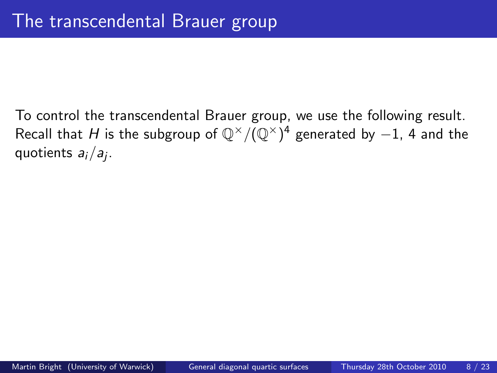<span id="page-21-0"></span>To control the transcendental Brauer group, we use the following result. Recall that  $H$  is the subgroup of  $\mathbb{Q}^\times/(\mathbb{Q}^\times)^4$  generated by  $-1$ , 4 and the quotients *a<sub>i</sub>/a<sub>j</sub>.*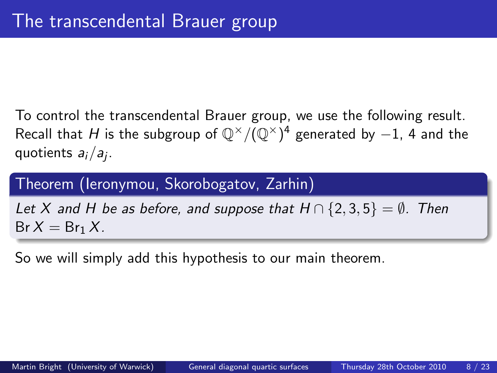To control the transcendental Brauer group, we use the following result. Recall that  $H$  is the subgroup of  $\mathbb{Q}^\times/(\mathbb{Q}^\times)^4$  generated by  $-1$ , 4 and the quotients *a<sub>i</sub>/a<sub>j</sub>.* 

### Theorem (Ieronymou, Skorobogatov, Zarhin)

Let X and H be as before, and suppose that  $H \cap \{2, 3, 5\} = \emptyset$ . Then  $Br X = Br<sub>1</sub> X$ .

So we will simply add this hypothesis to our main theorem.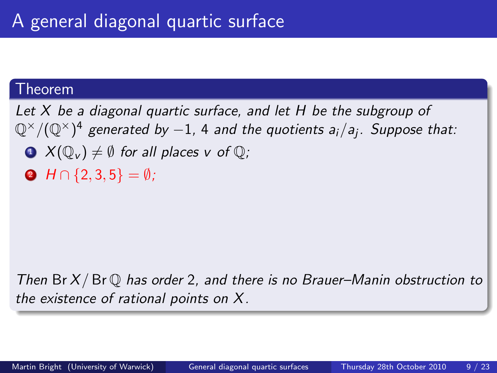#### Theorem

Let  $X$  be a diagonal quartic surface, and let  $H$  be the subgroup of  $\mathbb{Q}^{\times}/(\mathbb{Q}^{\times})^4$  generated by  $-1$ , 4 and the quotients a $_i/$ a $_j$ . Suppose that:  $\bullet X(\mathbb{Q}_{\nu}) \neq \emptyset$  for all places v of  $\mathbb{Q}$ ;  $\bigcirc$  H  $\cap$  {2, 3, 5} =  $\emptyset$ ;

Then Br  $X/Br \mathbb{Q}$  has order 2, and there is no Brauer–Manin obstruction to the existence of rational points on X.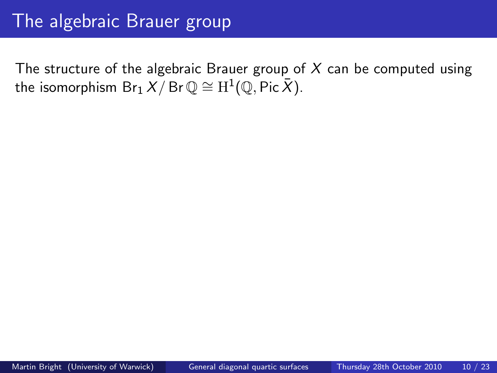<span id="page-24-0"></span>The structure of the algebraic Brauer group of  $X$  can be computed using the isomorphism  $\mathsf{Br}_1\, X/\, \mathsf{Br} \, \mathbb{Q} \cong \mathrm{H}^1(\mathbb{Q}, \mathsf{Pic} \, \bar{X}).$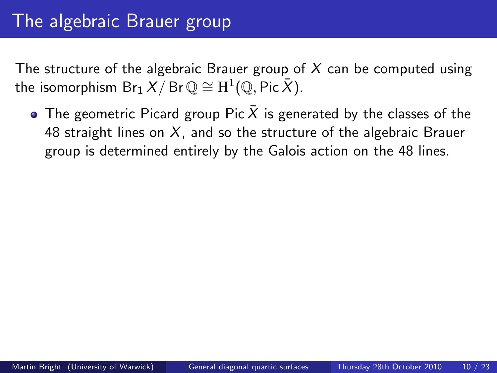The structure of the algebraic Brauer group of  $X$  can be computed using the isomorphism  $\mathsf{Br}_1\, X/\, \mathsf{Br} \, \mathbb{Q} \cong \mathrm{H}^1(\mathbb{Q}, \mathsf{Pic} \, \bar{X}).$ 

• The geometric Picard group Pic  $\overline{X}$  is generated by the classes of the 48 straight lines on  $X$ , and so the structure of the algebraic Brauer group is determined entirely by the Galois action on the 48 lines.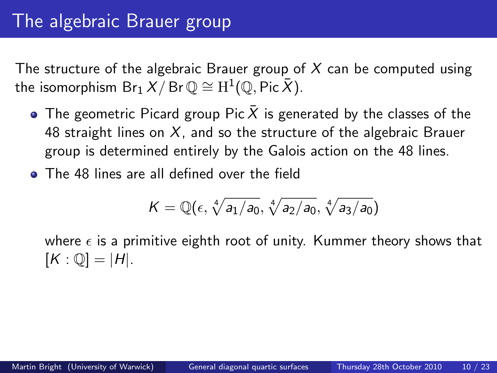The structure of the algebraic Brauer group of  $X$  can be computed using the isomorphism  $\mathsf{Br}_1\, X/\, \mathsf{Br} \, \mathbb{Q} \cong \mathrm{H}^1(\mathbb{Q}, \mathsf{Pic} \, \bar{X}).$ 

- The geometric Picard group Pic  $\overline{X}$  is generated by the classes of the 48 straight lines on  $X$ , and so the structure of the algebraic Brauer group is determined entirely by the Galois action on the 48 lines.
- The 48 lines are all defined over the field

$$
\mathcal{K}=\mathbb{Q}(\epsilon,\sqrt[4]{a_1/a_0},\sqrt[4]{a_2/a_0},\sqrt[4]{a_3/a_0})
$$

where  $\epsilon$  is a primitive eighth root of unity. Kummer theory shows that  $[K : \mathbb{Q}] = |H|.$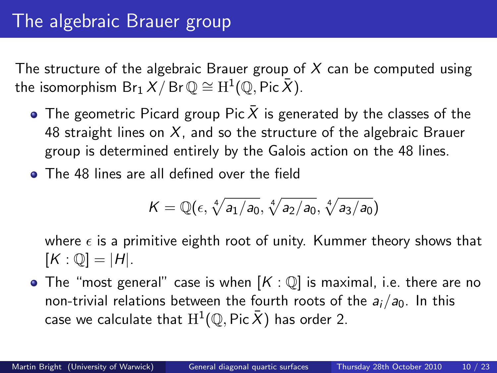The structure of the algebraic Brauer group of  $X$  can be computed using the isomorphism  $\mathsf{Br}_1\, X/\, \mathsf{Br} \, \mathbb{Q} \cong \mathrm{H}^1(\mathbb{Q}, \mathsf{Pic} \, \bar{X}).$ 

- The geometric Picard group Pic  $\bar{X}$  is generated by the classes of the 48 straight lines on  $X$ , and so the structure of the algebraic Brauer group is determined entirely by the Galois action on the 48 lines.
- The 48 lines are all defined over the field

$$
\mathcal{K}=\mathbb{Q}(\epsilon,\sqrt[4]{a_1/a_0},\sqrt[4]{a_2/a_0},\sqrt[4]{a_3/a_0})
$$

where  $\epsilon$  is a primitive eighth root of unity. Kummer theory shows that  $[K : \mathbb{Q}] = |H|.$ 

• The "most general" case is when  $[K:\mathbb{Q}]$  is maximal, i.e. there are no non-trivial relations between the fourth roots of the  $a_i/a_0$ . In this case we calculate that  $\mathrm{H}^1(\mathbb{Q},\mathsf{Pic}\,\bar{X})$  has order 2.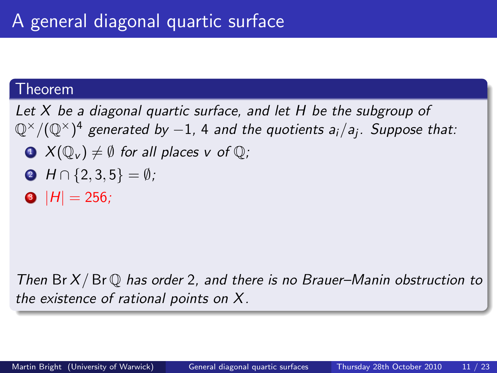#### Theorem

Let  $X$  be a diagonal quartic surface, and let  $H$  be the subgroup of  $\mathbb{Q}^{\times}/(\mathbb{Q}^{\times})^4$  generated by  $-1$ , 4 and the quotients a $_i/$ a $_j$ . Suppose that:

 $\bullet \times (\mathbb{Q}_{\nu}) \neq \emptyset$  for all places v of  $\mathbb{Q}$ ;

$$
\bullet \ \ H \cap \{2,3,5\} = \emptyset;
$$

 $|H| = 256$ ;

Then Br  $X/Br \mathbb{Q}$  has order 2, and there is no Brauer–Manin obstruction to the existence of rational points on X.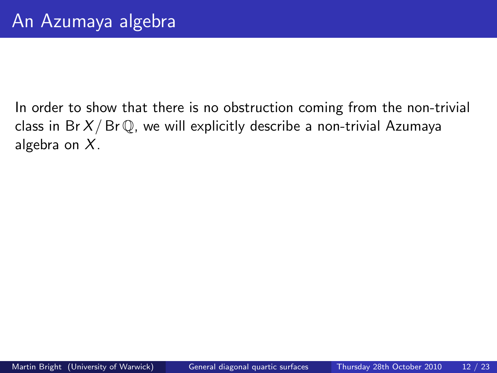In order to show that there is no obstruction coming from the non-trivial class in Br  $X/Br\mathbb{Q}$ , we will explicitly describe a non-trivial Azumaya algebra on  $X$ .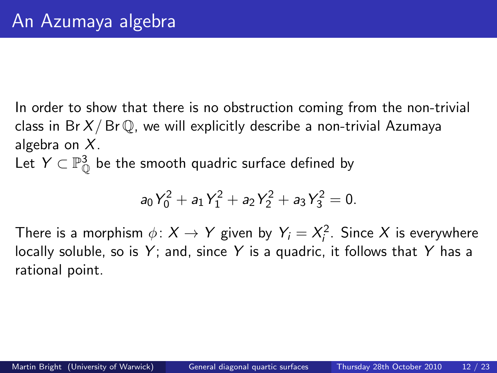In order to show that there is no obstruction coming from the non-trivial class in Br  $X/Br \mathbb{Q}$ , we will explicitly describe a non-trivial Azumaya algebra on  $X$ .

Let  $Y \subset \mathbb{P}^3_\mathbb{O}$  be the smooth quadric surface defined by

$$
a_0Y_0^2 + a_1Y_1^2 + a_2Y_2^2 + a_3Y_3^2 = 0.
$$

There is a morphism  $\phi \colon X \to Y$  given by  $Y_i = X_i^2.$  Since  $X$  is everywhere locally soluble, so is  $Y$ ; and, since Y is a quadric, it follows that Y has a rational point.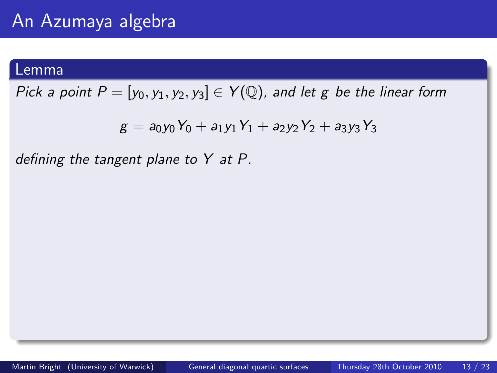## An Azumaya algebra

#### Lemma

Pick a point  $P = [y_0, y_1, y_2, y_3] \in Y(\mathbb{Q})$ , and let g be the linear form

$$
g = a_0y_0Y_0 + a_1y_1Y_1 + a_2y_2Y_2 + a_3y_3Y_3
$$

defining the tangent plane to  $Y$  at  $P$ .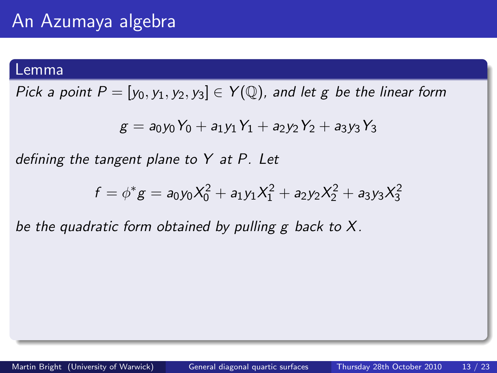#### Lemma

Pick a point  $P = [y_0, y_1, y_2, y_3] \in Y(\mathbb{Q})$ , and let g be the linear form

$$
g = a_0y_0Y_0 + a_1y_1Y_1 + a_2y_2Y_2 + a_3y_3Y_3
$$

defining the tangent plane to Y at P. Let

$$
f = \phi^* g = a_0 y_0 X_0^2 + a_1 y_1 X_1^2 + a_2 y_2 X_2^2 + a_3 y_3 X_3^2
$$

be the quadratic form obtained by pulling  $g$  back to  $X$ .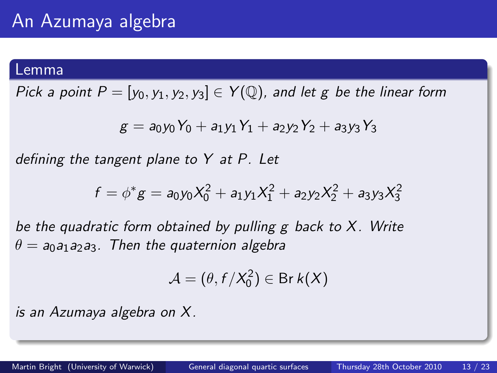#### Lemma

Pick a point  $P = [y_0, y_1, y_2, y_3] \in Y(\mathbb{Q})$ , and let g be the linear form

$$
g = a_0y_0Y_0 + a_1y_1Y_1 + a_2y_2Y_2 + a_3y_3Y_3
$$

defining the tangent plane to Y at P. Let

$$
f = \phi^* g = a_0 y_0 X_0^2 + a_1 y_1 X_1^2 + a_2 y_2 X_2^2 + a_3 y_3 X_3^2
$$

be the quadratic form obtained by pulling g back to  $X$ . Write  $\theta = a_0 a_1 a_2 a_3$ . Then the quaternion algebra

$$
\mathcal{A}=(\theta, f/X_0^2)\in \textup{Br}\; k(X)
$$

is an Azumaya algebra on X.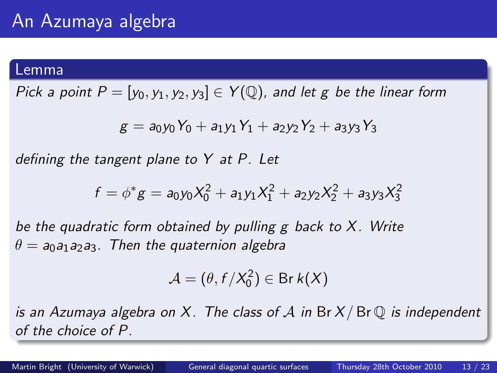#### Lemma

Pick a point  $P = [y_0, y_1, y_2, y_3] \in Y(\mathbb{Q})$ , and let g be the linear form

$$
g = a_0y_0Y_0 + a_1y_1Y_1 + a_2y_2Y_2 + a_3y_3Y_3
$$

defining the tangent plane to Y at P. Let

$$
f = \phi^* g = a_0 y_0 X_0^2 + a_1 y_1 X_1^2 + a_2 y_2 X_2^2 + a_3 y_3 X_3^2
$$

be the quadratic form obtained by pulling g back to  $X$ . Write  $\theta = a_0 a_1 a_2 a_3$ . Then the quaternion algebra

$$
\mathcal{A}=(\theta, f/X_0^2)\in \textup{Br}\; k(X)
$$

is an Azumaya algebra on X. The class of A in  $B(X/SY)$  is independent of the choice of P.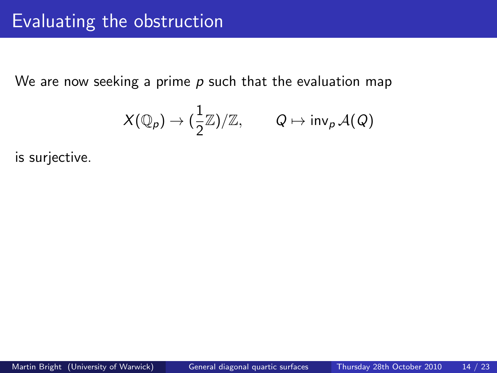<span id="page-35-0"></span>
$$
X(\mathbb{Q}_p)\to(\frac{1}{2}\mathbb{Z})/\mathbb{Z},\qquad Q\mapsto\mathop{\rm inv}\nolimits_p\mathcal{A}(Q)
$$

is surjective.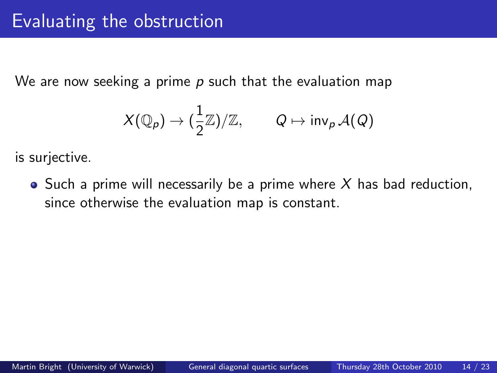$$
X(\mathbb{Q}_p)\to(\frac{1}{2}\mathbb{Z})/\mathbb{Z},\qquad Q\mapsto \mathop{\rm inv}\nolimits_p\mathcal{A}(Q)
$$

is surjective.

 $\bullet$  Such a prime will necessarily be a prime where X has bad reduction, since otherwise the evaluation map is constant.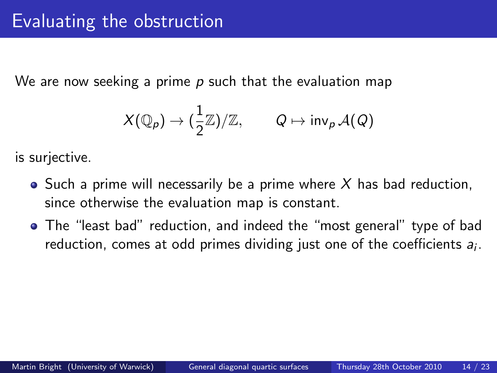$$
X(\mathbb{Q}_p)\to(\frac{1}{2}\mathbb{Z})/\mathbb{Z},\qquad Q\mapsto \mathop{\rm inv}\nolimits_p\mathcal{A}(Q)
$$

is surjective.

- $\bullet$  Such a prime will necessarily be a prime where X has bad reduction, since otherwise the evaluation map is constant.
- The "least bad" reduction, and indeed the "most general" type of bad reduction, comes at odd primes dividing just one of the coefficients  $\mathcal{a}_i$ .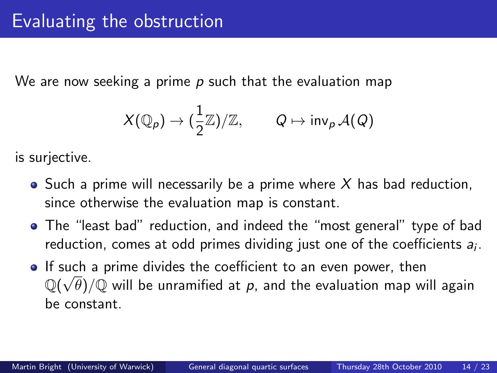$$
X(\mathbb{Q}_p)\to(\frac{1}{2}\mathbb{Z})/\mathbb{Z},\qquad Q\mapsto \mathop{\rm inv}\nolimits_p\mathcal{A}(Q)
$$

is surjective.

- $\bullet$  Such a prime will necessarily be a prime where X has bad reduction, since otherwise the evaluation map is constant.
- The "least bad" reduction, and indeed the "most general" type of bad reduction, comes at odd primes dividing just one of the coefficients  $\mathcal{a}_i$ .
- If such a prime divides the coefficient to an even power, then  $\mathbb{Q}(\sqrt{\theta})/\mathbb{Q}$  will be unramified at  $\rho$ , and the evaluation map will again be constant.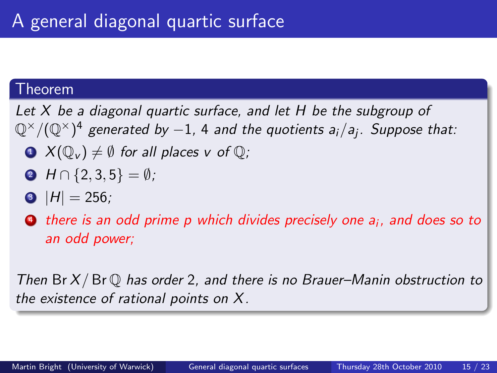#### Theorem

Let  $X$  be a diagonal quartic surface, and let  $H$  be the subgroup of  $\mathbb{Q}^{\times}/(\mathbb{Q}^{\times})^4$  generated by  $-1$ , 4 and the quotients a $_i/$ a $_j$ . Suppose that:

- $\bullet X(\mathbb{Q}_{\nu}) \neq \emptyset$  for all places v of  $\mathbb{Q}$ ;
- $\bigcirc$   $H \cap \{2,3,5\} = \emptyset$ ;
- $|H| = 256$ ;
- $\bullet$  there is an odd prime p which divides precisely one  $a_i$ , and does so to an odd power;

Then Br  $X/Br \mathbb{Q}$  has order 2, and there is no Brauer–Manin obstruction to the existence of rational points on X.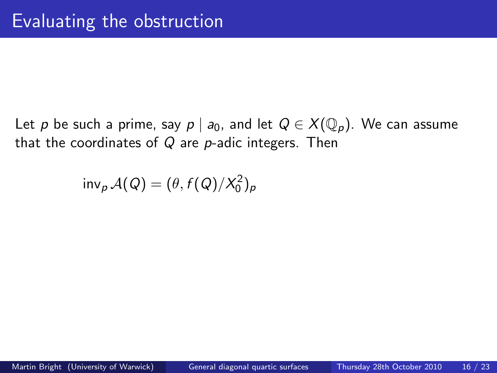$$
inv_{p} \mathcal{A}(Q) = (\theta, f(Q)/X_{0}^{2})_{p}
$$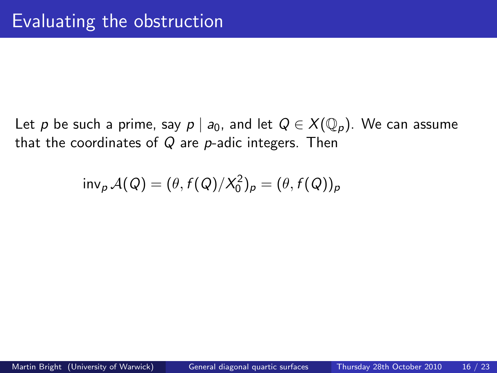$$
\mathsf{inv}_p \,\mathcal{A}(\mathsf{Q}) = (\theta, f(\mathsf{Q})/\mathsf{X}_0^2)_p = (\theta, f(\mathsf{Q}))_p
$$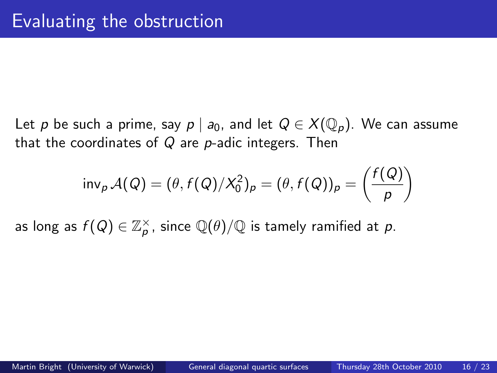$$
inv_{p} \mathcal{A}(Q) = (\theta, f(Q)/X_{0}^{2})_{p} = (\theta, f(Q))_{p} = \left(\frac{f(Q)}{p}\right)
$$

as long as  $f(Q) \in \mathbb{Z}_p^\times$ , since  $\mathbb{Q}(\theta)/\mathbb{Q}$  is tamely ramified at  $p$ .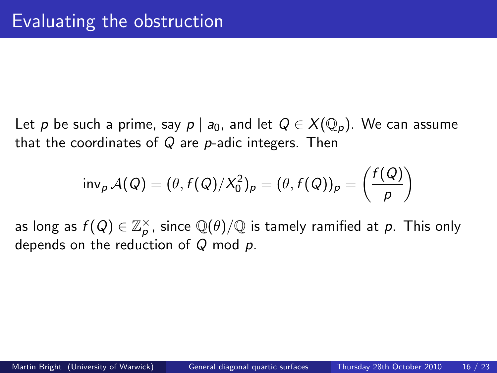$$
\text{inv}_p \,\mathcal{A}(Q) = (\theta, f(Q)/\chi_0^2)_p = (\theta, f(Q))_p = \left(\frac{f(Q)}{p}\right)
$$

as long as  $f(Q)\in \mathbb{Z}_\rho^\times$ , since  $\mathbb{Q}(\theta)/\mathbb{Q}$  is tamely ramified at  $\rho.$  This only depends on the reduction of Q mod p.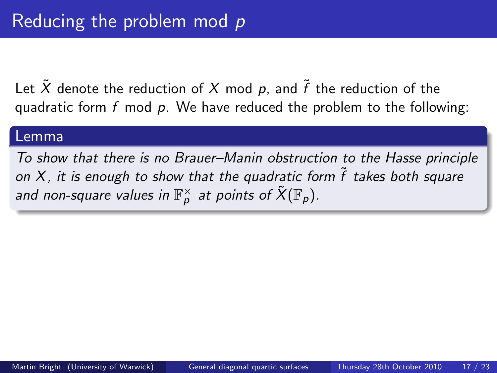Let  $\tilde{X}$  denote the reduction of X mod p, and  $\tilde{f}$  the reduction of the quadratic form f mod  $p$ . We have reduced the problem to the following:

#### Lemma

To show that there is no Brauer–Manin obstruction to the Hasse principle on  $X$ , it is enough to show that the quadratic form  $\tilde{f}$  takes both square and non-square values in  $\mathbb{F}_p^\times$  at points of  $\tilde{\mathsf{X}}(\mathbb{F}_p).$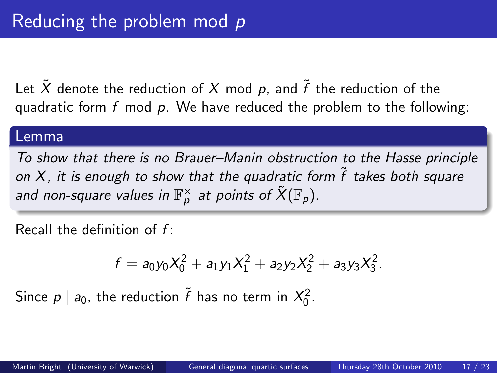Let  $\tilde{X}$  denote the reduction of X mod p, and  $\tilde{f}$  the reduction of the quadratic form  $f$  mod  $p$ . We have reduced the problem to the following:

#### Lemma

To show that there is no Brauer–Manin obstruction to the Hasse principle on X, it is enough to show that the quadratic form  $\tilde{f}$  takes both square and non-square values in  $\mathbb{F}_p^\times$  at points of  $\tilde{\mathsf{X}}(\mathbb{F}_p).$ 

Recall the definition of  $f$ :

$$
f = a_0 y_0 X_0^2 + a_1 y_1 X_1^2 + a_2 y_2 X_2^2 + a_3 y_3 X_3^2.
$$

Since  $p \mid a_0$ , the reduction  $\widetilde{f}$  has no term in  $X_0^2$ .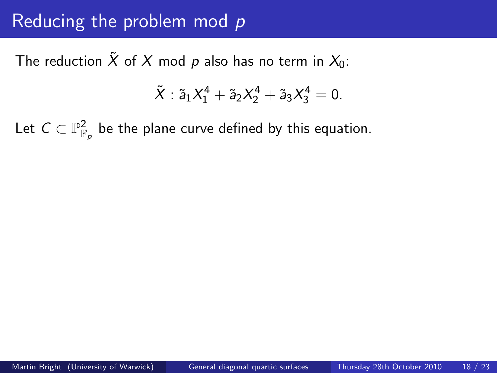## Reducing the problem mod  $p$

The reduction  $\tilde{X}$  of X mod p also has no term in  $X_0$ :

$$
\tilde{X} : \tilde{a}_1 X_1^4 + \tilde{a}_2 X_2^4 + \tilde{a}_3 X_3^4 = 0.
$$

Let  $\mathcal{C} \subset \mathbb{P}^2_{\mathbb{F}_p}$  be the plane curve defined by this equation.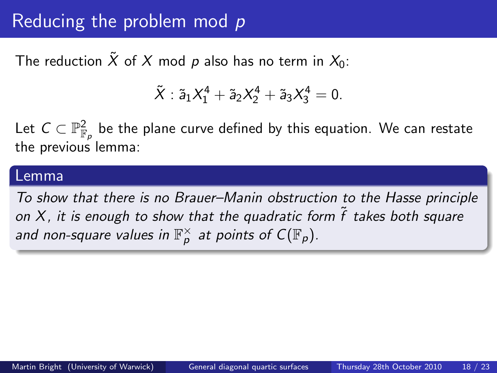## Reducing the problem mod p

The reduction  $\tilde{X}$  of X mod p also has no term in  $X_0$ :

$$
\tilde{X} : \tilde{a}_1 X_1^4 + \tilde{a}_2 X_2^4 + \tilde{a}_3 X_3^4 = 0.
$$

Let  $\mathcal{C} \subset \mathbb{P}^2_{\mathbb{F}_p}$  be the plane curve defined by this equation. We can restate the previous lemma:

#### Lemma

To show that there is no Brauer–Manin obstruction to the Hasse principle on X, it is enough to show that the quadratic form  $\tilde{f}$  takes both square and non-square values in  $\mathbb{F}_p^\times$  at points of  $C(\mathbb{F}_p).$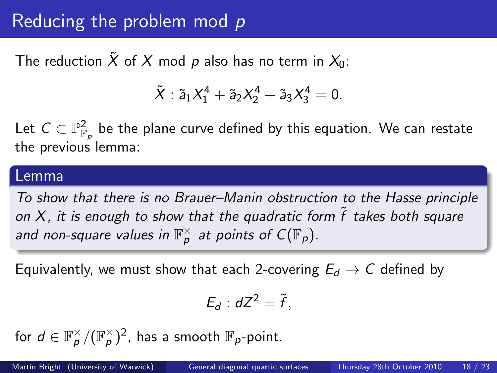## Reducing the problem mod p

The reduction  $\tilde{X}$  of X mod p also has no term in  $X_0$ :

$$
\tilde{X} : \tilde{a}_1 X_1^4 + \tilde{a}_2 X_2^4 + \tilde{a}_3 X_3^4 = 0.
$$

Let  $\mathcal{C} \subset \mathbb{P}^2_{\mathbb{F}_p}$  be the plane curve defined by this equation. We can restate the previous lemma:

#### Lemma

To show that there is no Brauer–Manin obstruction to the Hasse principle on  $X$ , it is enough to show that the quadratic form  $\tilde{f}$  takes both square and non-square values in  $\mathbb{F}_p^\times$  at points of  $C(\mathbb{F}_p).$ 

Equivalently, we must show that each 2-covering  $E_d \rightarrow C$  defined by

$$
E_d: dZ^2 = \tilde{f},
$$

for  $d \in \mathbb{F}_\rho^\times/(\mathbb{F}_\rho^\times)^2$ , has a smooth  $\mathbb{F}_\rho$ -point.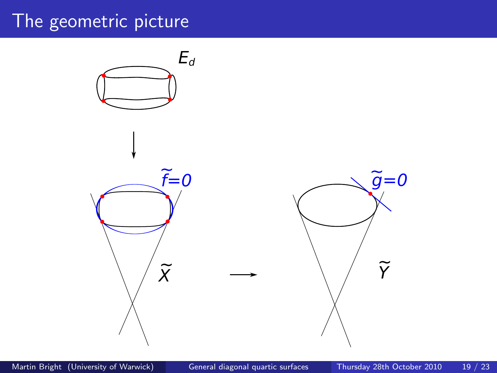### The geometric picture

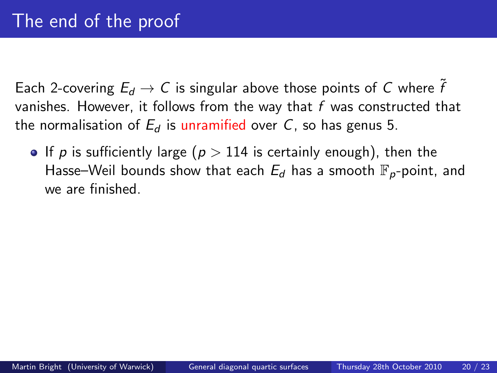Each 2-covering  $E_d \rightarrow C$  is singular above those points of C where  $\hat{f}$ vanishes. However, it follows from the way that  $f$  was constructed that the normalisation of  $E_d$  is unramified over C, so has genus 5.

**If** p is sufficiently large ( $p > 114$  is certainly enough), then the Hasse–Weil bounds show that each  $E_d$  has a smooth  $\mathbb{F}_p$ -point, and we are finished.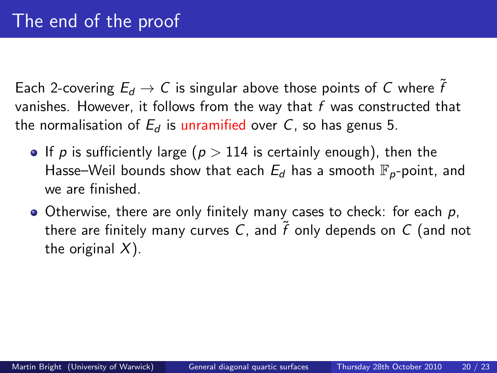Each 2-covering  $E_d \rightarrow C$  is singular above those points of C where  $\tilde{f}$ vanishes. However, it follows from the way that  $f$  was constructed that the normalisation of  $E_d$  is unramified over C, so has genus 5.

- **•** If p is sufficiently large ( $p > 114$  is certainly enough), then the Hasse–Weil bounds show that each  $E_d$  has a smooth  $\mathbb{F}_p$ -point, and we are finished.
- $\bullet$  Otherwise, there are only finitely many cases to check: for each  $p$ , there are finitely many curves  $C$ , and  $\tilde{f}$  only depends on  $C$  (and not the original  $X$ ).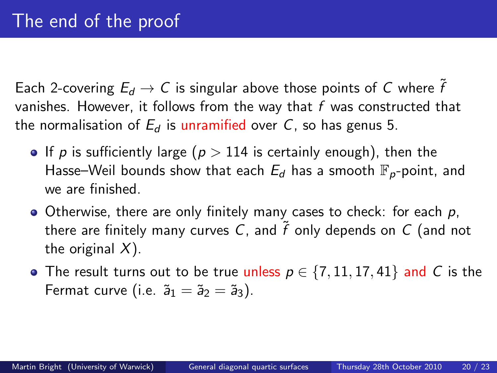Each 2-covering  $E_d \rightarrow C$  is singular above those points of C where  $\tilde{f}$ vanishes. However, it follows from the way that  $f$  was constructed that the normalisation of  $E_d$  is unramified over C, so has genus 5.

- **If** p is sufficiently large ( $p > 114$  is certainly enough), then the Hasse–Weil bounds show that each  $E_d$  has a smooth  $\mathbb{F}_p$ -point, and we are finished.
- $\bullet$  Otherwise, there are only finitely many cases to check: for each  $p$ , there are finitely many curves  $C$ , and  $\tilde{f}$  only depends on  $C$  (and not the original  $X$ ).
- The result turns out to be true unless  $p \in \{7, 11, 17, 41\}$  and C is the Fermat curve (i.e.  $\tilde{a}_1 = \tilde{a}_2 = \tilde{a}_3$ ).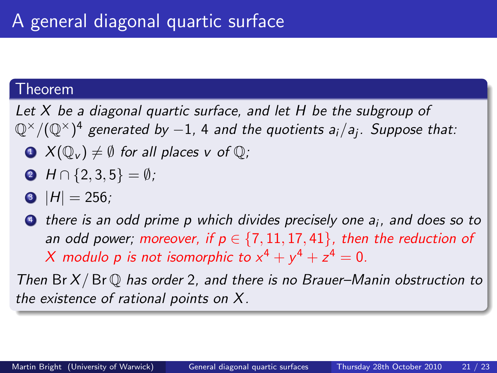#### Theorem

Let  $X$  be a diagonal quartic surface, and let  $H$  be the subgroup of  $\mathbb{Q}^{\times}/(\mathbb{Q}^{\times})^4$  generated by  $-1$ , 4 and the quotients a $_i/$ a $_j$ . Suppose that:

- $\bullet \times (\mathbb{Q}_{\nu}) \neq \emptyset$  for all places v of  $\mathbb{Q}$ ;
- $\bigcirc$   $H \cap \{2,3,5\} = \emptyset$ ;
- $|H| = 256$ ;
- $\bullet$  there is an odd prime p which divides precisely one  $a_i$ , and does so to an odd power; moreover, if  $p \in \{7, 11, 17, 41\}$ , then the reduction of X modulo p is not isomorphic to  $x^4 + y^4 + z^4 = 0$ .

Then  $Br X/Br \mathbb{Q}$  has order 2, and there is no Brauer–Manin obstruction to the existence of rational points on X.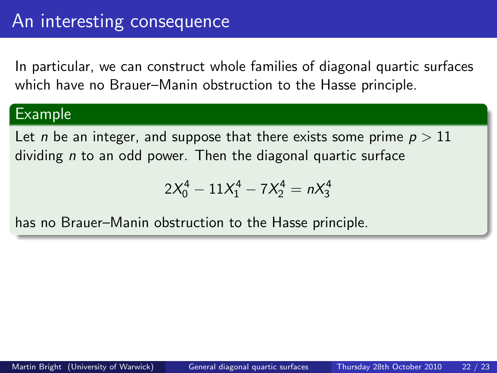In particular, we can construct whole families of diagonal quartic surfaces which have no Brauer–Manin obstruction to the Hasse principle.

### Example

Let *n* be an integer, and suppose that there exists some prime  $p > 11$ dividing n to an odd power. Then the diagonal quartic surface

<span id="page-55-0"></span>
$$
2X_0^4 - 11X_1^4 - 7X_2^4 = nX_3^4
$$

has no Brauer–Manin obstruction to the Hasse principle.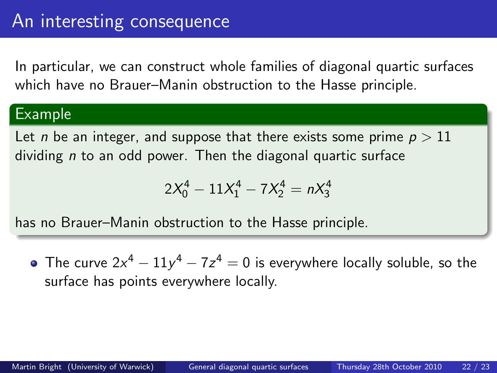In particular, we can construct whole families of diagonal quartic surfaces which have no Brauer–Manin obstruction to the Hasse principle.

### Example

Let *n* be an integer, and suppose that there exists some prime  $p > 11$ dividing n to an odd power. Then the diagonal quartic surface

$$
2X_0^4 - 11X_1^4 - 7X_2^4 = nX_3^4
$$

has no Brauer–Manin obstruction to the Hasse principle.

The curve  $2x^4-11y^4-7z^4=0$  is everywhere locally soluble, so the surface has points everywhere locally.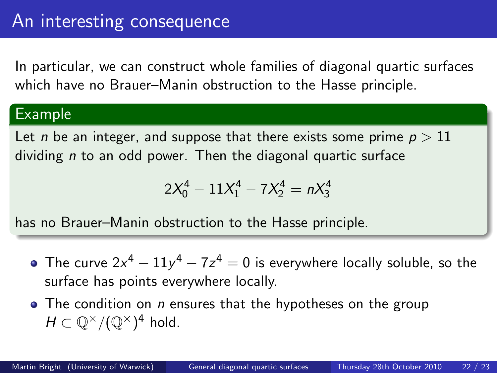In particular, we can construct whole families of diagonal quartic surfaces which have no Brauer–Manin obstruction to the Hasse principle.

### Example

Let *n* be an integer, and suppose that there exists some prime  $p > 11$ dividing *n* to an odd power. Then the diagonal quartic surface

$$
2X_0^4 - 11X_1^4 - 7X_2^4 = nX_3^4
$$

has no Brauer–Manin obstruction to the Hasse principle.

- The curve  $2x^4-11y^4-7z^4=0$  is everywhere locally soluble, so the surface has points everywhere locally.
- $\bullet$  The condition on *n* ensures that the hypotheses on the group  $H \subset \mathbb{Q}^{\times}/(\mathbb{Q}^{\times})^4$  hold.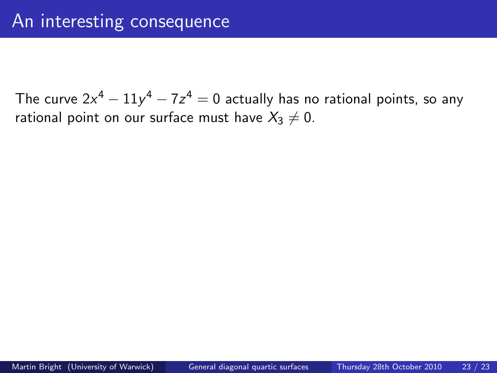The curve  $2x^4-11y^4-7z^4=0$  actually has no rational points, so any rational point on our surface must have  $X_3 \neq 0$ .